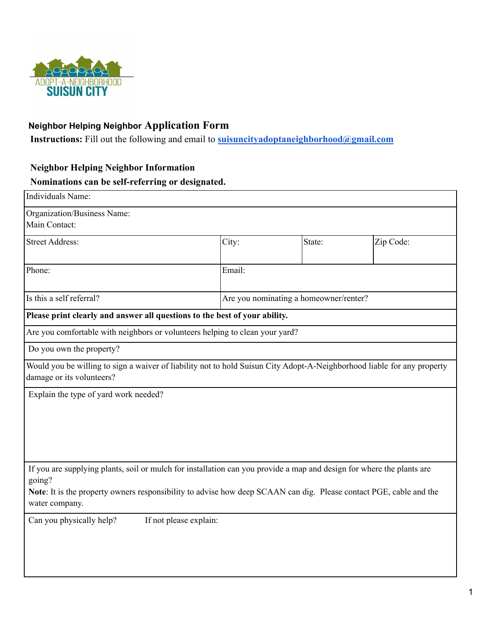

## **Neighbor Helping Neighbor Application Form**

**Instructions:** Fill out the following and email to **[suisuncityadoptaneighborhood@gmail.com](mailto:suisuncityadoptaneighborhood@gmail.com)**

## **Neighbor Helping Neighbor Information**

## **Nominations can be self-referring or designated.**

| Individuals Name:                                                                                                                                                                                                                                     |                        |                                        |           |  |
|-------------------------------------------------------------------------------------------------------------------------------------------------------------------------------------------------------------------------------------------------------|------------------------|----------------------------------------|-----------|--|
| Organization/Business Name:<br>Main Contact:                                                                                                                                                                                                          |                        |                                        |           |  |
| <b>Street Address:</b>                                                                                                                                                                                                                                | City:                  | State:                                 | Zip Code: |  |
| Phone:                                                                                                                                                                                                                                                | Email:                 |                                        |           |  |
| Is this a self referral?                                                                                                                                                                                                                              |                        | Are you nominating a homeowner/renter? |           |  |
| Please print clearly and answer all questions to the best of your ability.                                                                                                                                                                            |                        |                                        |           |  |
| Are you comfortable with neighbors or volunteers helping to clean your yard?                                                                                                                                                                          |                        |                                        |           |  |
| Do you own the property?                                                                                                                                                                                                                              |                        |                                        |           |  |
| Would you be willing to sign a waiver of liability not to hold Suisun City Adopt-A-Neighborhood liable for any property<br>damage or its volunteers?                                                                                                  |                        |                                        |           |  |
| Explain the type of yard work needed?                                                                                                                                                                                                                 |                        |                                        |           |  |
| If you are supplying plants, soil or mulch for installation can you provide a map and design for where the plants are<br>going?<br>Note: It is the property owners responsibility to advise how deep SCAAN can dig. Please contact PGE, cable and the |                        |                                        |           |  |
| water company.                                                                                                                                                                                                                                        |                        |                                        |           |  |
| Can you physically help?                                                                                                                                                                                                                              | If not please explain: |                                        |           |  |